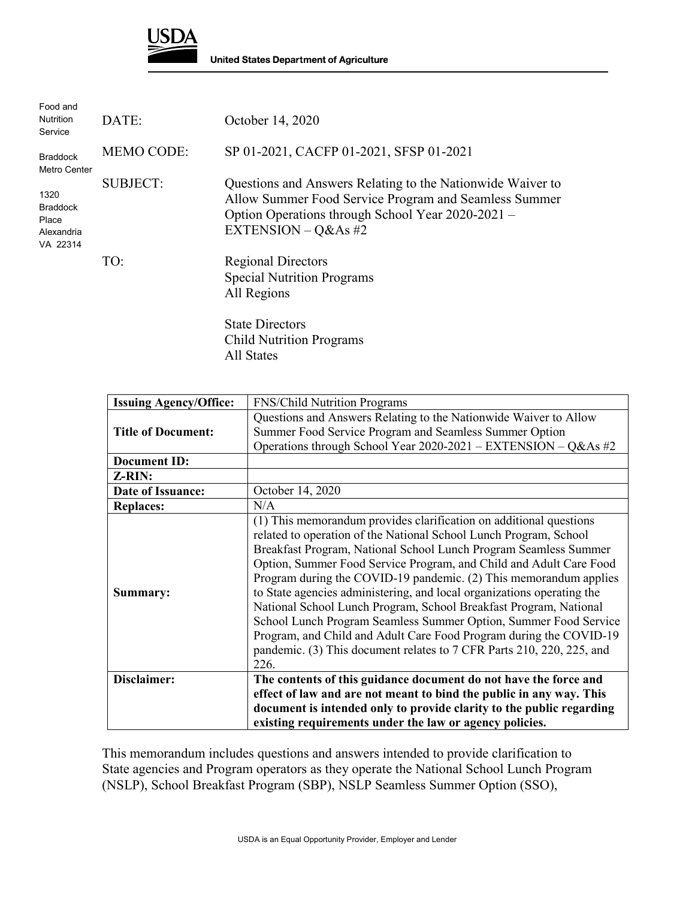

| Food and<br><b>Nutrition</b><br>Service                                                       | DATE:             | October 14, 2020                                                                                                                                                                                  |
|-----------------------------------------------------------------------------------------------|-------------------|---------------------------------------------------------------------------------------------------------------------------------------------------------------------------------------------------|
| <b>Braddock</b><br>Metro Center<br>1320<br><b>Braddock</b><br>Place<br>Alexandria<br>VA 22314 | <b>MEMO CODE:</b> | SP 01-2021, CACFP 01-2021, SFSP 01-2021                                                                                                                                                           |
|                                                                                               | <b>SUBJECT:</b>   | Questions and Answers Relating to the Nationwide Waiver to<br>Allow Summer Food Service Program and Seamless Summer<br>Option Operations through School Year 2020-2021 –<br>EXTENSION $-$ Q&As #2 |
|                                                                                               | TO:               | <b>Regional Directors</b><br><b>Special Nutrition Programs</b><br>All Regions<br><b>State Directors</b><br><b>Child Nutrition Programs</b>                                                        |

All States

**Issuing Agency/Office:** FNS/Child Nutrition Programs **Title of Document:** Questions and Answers Relating to the Nationwide Waiver to Allow Summer Food Service Program and Seamless Summer Option Operations through School Year 2020-2021 – EXTENSION – Q&As #2 **Document ID: Z-RIN: Date of Issuance: CE** October 14, 2020 **Replaces:** N/A **Summary:** (1) This memorandum provides clarification on additional questions related to operation of the National School Lunch Program, School Breakfast Program, National School Lunch Program Seamless Summer Option, Summer Food Service Program, and Child and Adult Care Food Program during the COVID-19 pandemic. (2) This memorandum applies to State agencies administering, and local organizations operating the National School Lunch Program, School Breakfast Program, National School Lunch Program Seamless Summer Option, Summer Food Service Program, and Child and Adult Care Food Program during the COVID-19 pandemic. (3) This document relates to 7 CFR Parts 210, 220, 225, and 226. **Disclaimer: The contents of this guidance document do not have the force and effect of law and are not meant to bind the public in any way. This document is intended only to provide clarity to the public regarding existing requirements under the law or agency policies.**

This memorandum includes questions and answers intended to provide clarification to State agencies and Program operators as they operate the National School Lunch Program (NSLP), School Breakfast Program (SBP), NSLP Seamless Summer Option (SSO),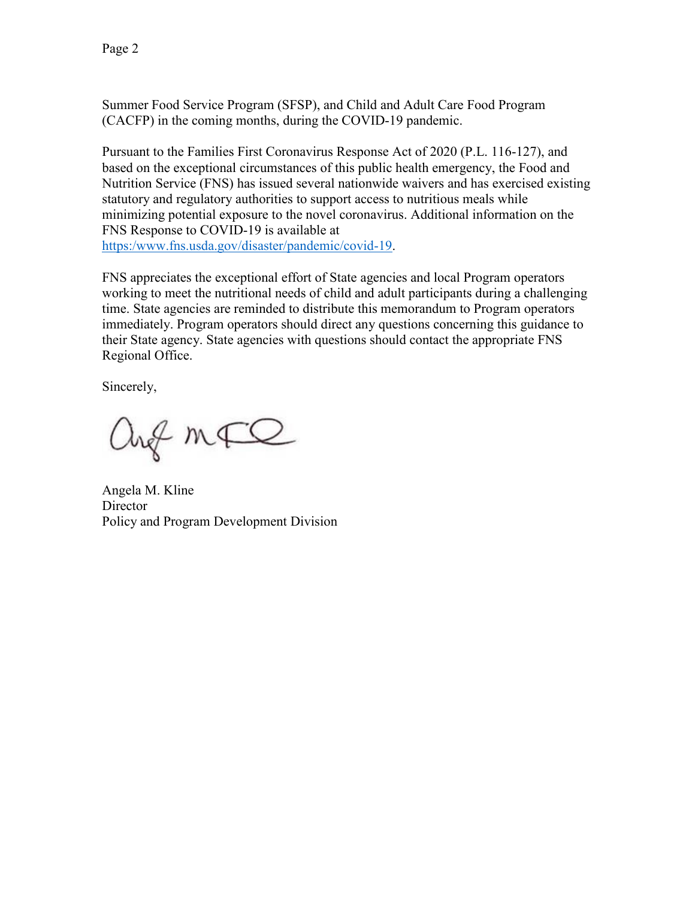Summer Food Service Program (SFSP), and Child and Adult Care Food Program (CACFP) in the coming months, during the COVID-19 pandemic.

Pursuant to the Families First Coronavirus Response Act of 2020 (P.L. 116-127), and based on the exceptional circumstances of this public health emergency, the Food and Nutrition Service (FNS) has issued several nationwide waivers and has exercised existing statutory and regulatory authorities to support access to nutritious meals while minimizing potential exposure to the novel coronavirus. Additional information on the FNS Response to COVID-19 is available at [https:/www.fns.usda.gov/disaster/pandemic/covid-19.](https://www.fns.usda.gov/disaster/pandemic/covid-19)

FNS appreciates the exceptional effort of State agencies and local Program operators working to meet the nutritional needs of child and adult participants during a challenging time. State agencies are reminded to distribute this memorandum to Program operators immediately. Program operators should direct any questions concerning this guidance to their State agency. State agencies with questions should contact the appropriate FNS Regional Office.

Sincerely,

ang mFQ

Angela M. Kline **Director** Policy and Program Development Division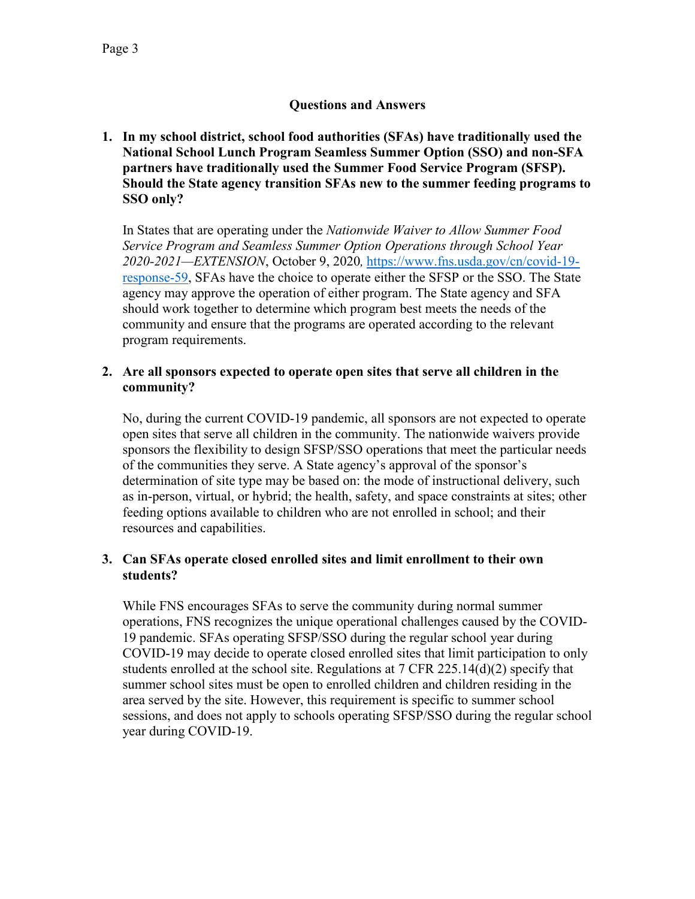# **Questions and Answers**

**1. In my school district, school food authorities (SFAs) have traditionally used the National School Lunch Program Seamless Summer Option (SSO) and non-SFA partners have traditionally used the Summer Food Service Program (SFSP). Should the State agency transition SFAs new to the summer feeding programs to SSO only?**

In States that are operating under the *Nationwide Waiver to Allow Summer Food Service Program and Seamless Summer Option Operations through School Year 2020-2021—EXTENSION*, October 9, 2020*,* [https://www.fns.usda.gov/cn/covid-19](https://www.fns.usda.gov/cn/covid-19-response-59) [response-59,](https://www.fns.usda.gov/cn/covid-19-response-59) SFAs have the choice to operate either the SFSP or the SSO. The State agency may approve the operation of either program. The State agency and SFA should work together to determine which program best meets the needs of the community and ensure that the programs are operated according to the relevant program requirements.

#### **2. Are all sponsors expected to operate open sites that serve all children in the community?**

No, during the current COVID-19 pandemic, all sponsors are not expected to operate open sites that serve all children in the community. The nationwide waivers provide sponsors the flexibility to design SFSP/SSO operations that meet the particular needs of the communities they serve. A State agency's approval of the sponsor's determination of site type may be based on: the mode of instructional delivery, such as in-person, virtual, or hybrid; the health, safety, and space constraints at sites; other feeding options available to children who are not enrolled in school; and their resources and capabilities.

## **3. Can SFAs operate closed enrolled sites and limit enrollment to their own students?**

While FNS encourages SFAs to serve the community during normal summer operations, FNS recognizes the unique operational challenges caused by the COVID-19 pandemic. SFAs operating SFSP/SSO during the regular school year during COVID-19 may decide to operate closed enrolled sites that limit participation to only students enrolled at the school site. Regulations at  $7 \text{ CFR } 225.14(d)(2)$  specify that summer school sites must be open to enrolled children and children residing in the area served by the site. However, this requirement is specific to summer school sessions, and does not apply to schools operating SFSP/SSO during the regular school year during COVID-19.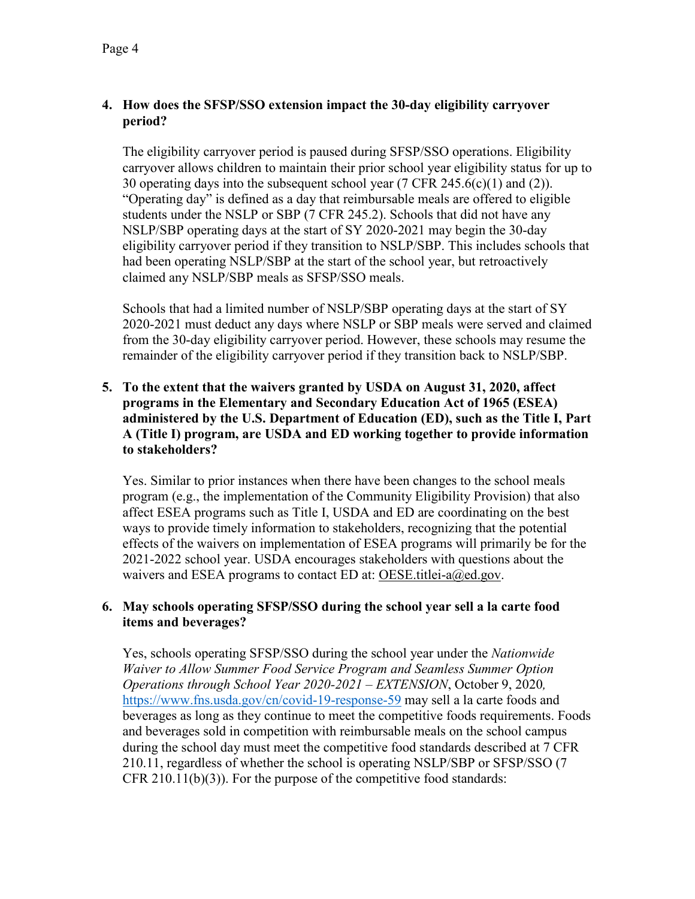# **4. How does the SFSP/SSO extension impact the 30-day eligibility carryover period?**

The eligibility carryover period is paused during SFSP/SSO operations. Eligibility carryover allows children to maintain their prior school year eligibility status for up to 30 operating days into the subsequent school year (7 CFR 245.6(c)(1) and (2)). "Operating day" is defined as a day that reimbursable meals are offered to eligible students under the NSLP or SBP (7 CFR 245.2). Schools that did not have any NSLP/SBP operating days at the start of SY 2020-2021 may begin the 30-day eligibility carryover period if they transition to NSLP/SBP. This includes schools that had been operating NSLP/SBP at the start of the school year, but retroactively claimed any NSLP/SBP meals as SFSP/SSO meals.

Schools that had a limited number of NSLP/SBP operating days at the start of SY 2020-2021 must deduct any days where NSLP or SBP meals were served and claimed from the 30-day eligibility carryover period. However, these schools may resume the remainder of the eligibility carryover period if they transition back to NSLP/SBP.

# **5. To the extent that the waivers granted by USDA on August 31, 2020, affect programs in the Elementary and Secondary Education Act of 1965 (ESEA) administered by the U.S. Department of Education (ED), such as the Title I, Part A (Title I) program, are USDA and ED working together to provide information to stakeholders?**

Yes. Similar to prior instances when there have been changes to the school meals program (e.g., the implementation of the Community Eligibility Provision) that also affect ESEA programs such as Title I, USDA and ED are coordinating on the best ways to provide timely information to stakeholders, recognizing that the potential effects of the waivers on implementation of ESEA programs will primarily be for the 2021-2022 school year. USDA encourages stakeholders with questions about the waivers and ESEA programs to contact ED at: OESE.titlei-a@ed.gov.

## **6. May schools operating SFSP/SSO during the school year sell a la carte food items and beverages?**

Yes, schools operating SFSP/SSO during the school year under the *Nationwide Waiver to Allow Summer Food Service Program and Seamless Summer Option Operations through School Year 2020-2021 – EXTENSION*, October 9, 2020*,* <https://www.fns.usda.gov/cn/covid-19-response-59> may sell a la carte foods and beverages as long as they continue to meet the competitive foods requirements. Foods and beverages sold in competition with reimbursable meals on the school campus during the school day must meet the competitive food standards described at 7 CFR 210.11, regardless of whether the school is operating NSLP/SBP or SFSP/SSO (7 CFR 210.11(b)(3)). For the purpose of the competitive food standards: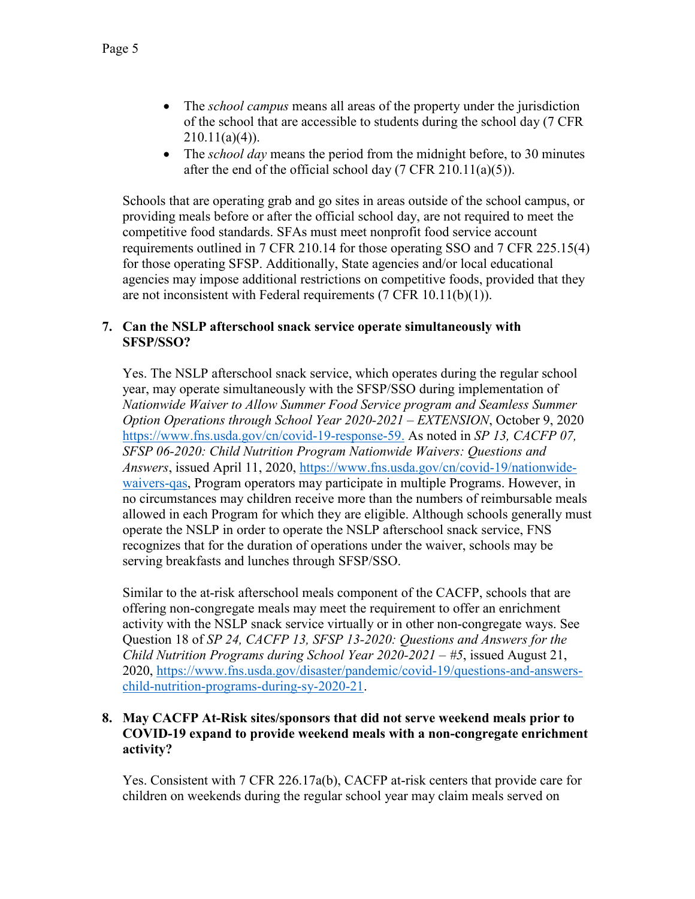- The *school campus* means all areas of the property under the jurisdiction of the school that are accessible to students during the school day (7 CFR  $210.11(a)(4)$ ).
- The *school day* means the period from the midnight before, to 30 minutes after the end of the official school day (7 CFR 210.11(a)(5)).

Schools that are operating grab and go sites in areas outside of the school campus, or providing meals before or after the official school day, are not required to meet the competitive food standards. SFAs must meet nonprofit food service account requirements outlined in 7 CFR 210.14 for those operating SSO and 7 CFR 225.15(4) for those operating SFSP. Additionally, State agencies and/or local educational agencies may impose additional restrictions on competitive foods, provided that they are not inconsistent with Federal requirements (7 CFR 10.11(b)(1)).

### **7. Can the NSLP afterschool snack service operate simultaneously with SFSP/SSO?**

Yes. The NSLP afterschool snack service, which operates during the regular school year, may operate simultaneously with the SFSP/SSO during implementation of *Nationwide Waiver to Allow Summer Food Service program and Seamless Summer Option Operations through School Year 2020-2021 – EXTENSION*, October 9, 2020 <https://www.fns.usda.gov/cn/covid-19-response-59.> As noted in *SP 13, CACFP 07, SFSP 06-2020: Child Nutrition Program Nationwide Waivers: Questions and Answers*, issued April 11, 2020, [https://www.fns.usda.gov/cn/covid-19/nationwide](https://www.fns.usda.gov/cn/covid-19/nationwide-waivers-qas)[waivers-qas,](https://www.fns.usda.gov/cn/covid-19/nationwide-waivers-qas) Program operators may participate in multiple Programs. However, in no circumstances may children receive more than the numbers of reimbursable meals allowed in each Program for which they are eligible. Although schools generally must operate the NSLP in order to operate the NSLP afterschool snack service, FNS recognizes that for the duration of operations under the waiver, schools may be serving breakfasts and lunches through SFSP/SSO.

Similar to the at-risk afterschool meals component of the CACFP, schools that are offering non-congregate meals may meet the requirement to offer an enrichment activity with the NSLP snack service virtually or in other non-congregate ways. See Question 18 of *SP 24, CACFP 13, SFSP 13-2020: Questions and Answers for the Child Nutrition Programs during School Year 2020-2021 – #5*, issued August 21, 2020, [https://www.fns.usda.gov/disaster/pandemic/covid-19/questions-and-answers](https://www.fns.usda.gov/disaster/pandemic/covid-19/questions-and-answers-child-nutrition-programs-during-sy-2020-21)[child-nutrition-programs-during-sy-2020-21.](https://www.fns.usda.gov/disaster/pandemic/covid-19/questions-and-answers-child-nutrition-programs-during-sy-2020-21)

### **8. May CACFP At-Risk sites/sponsors that did not serve weekend meals prior to COVID-19 expand to provide weekend meals with a non-congregate enrichment activity?**

Yes. Consistent with 7 CFR 226.17a(b), CACFP at-risk centers that provide care for children on weekends during the regular school year may claim meals served on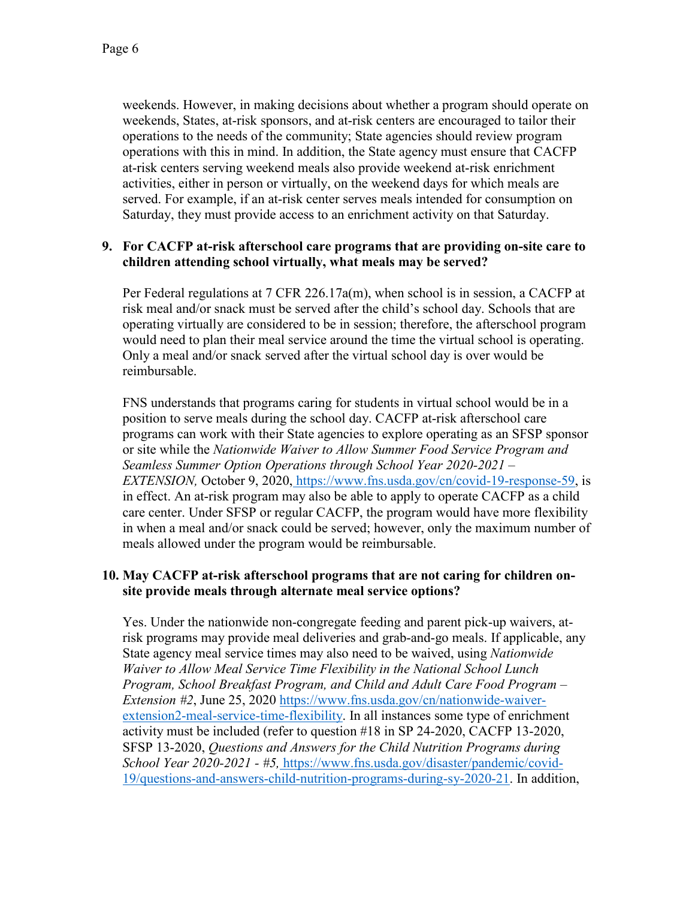weekends. However, in making decisions about whether a program should operate on weekends, States, at-risk sponsors, and at-risk centers are encouraged to tailor their operations to the needs of the community; State agencies should review program operations with this in mind. In addition, the State agency must ensure that CACFP at-risk centers serving weekend meals also provide weekend at-risk enrichment activities, either in person or virtually, on the weekend days for which meals are served. For example, if an at-risk center serves meals intended for consumption on Saturday, they must provide access to an enrichment activity on that Saturday.

### **9. For CACFP at-risk afterschool care programs that are providing on-site care to children attending school virtually, what meals may be served?**

Per Federal regulations at 7 CFR 226.17a(m), when school is in session, a CACFP at risk meal and/or snack must be served after the child's school day. Schools that are operating virtually are considered to be in session; therefore, the afterschool program would need to plan their meal service around the time the virtual school is operating. Only a meal and/or snack served after the virtual school day is over would be reimbursable.

FNS understands that programs caring for students in virtual school would be in a position to serve meals during the school day. CACFP at-risk afterschool care programs can work with their State agencies to explore operating as an SFSP sponsor or site while the *Nationwide Waiver to Allow Summer Food Service Program and Seamless Summer Option Operations through School Year 2020-2021 – EXTENSION,* October 9, 2020, [https://www.fns.usda.gov/cn/covid-19-response-59,](https://www.fns.usda.gov/cn/covid-19-response-59) is in effect. An at-risk program may also be able to apply to operate CACFP as a child care center. Under SFSP or regular CACFP, the program would have more flexibility in when a meal and/or snack could be served; however, only the maximum number of meals allowed under the program would be reimbursable.

### **10. May CACFP at-risk afterschool programs that are not caring for children onsite provide meals through alternate meal service options?**

Yes. Under the nationwide non-congregate feeding and parent pick-up waivers, atrisk programs may provide meal deliveries and grab-and-go meals. If applicable, any State agency meal service times may also need to be waived, using *Nationwide Waiver to Allow Meal Service Time Flexibility in the National School Lunch Program, School Breakfast Program, and Child and Adult Care Food Program – Extension #2*, June 25, 2020 [https://www.fns.usda.gov/cn/nationwide-waiver](https://www.fns.usda.gov/cn/nationwide-waiver-extension2-meal-service-time-flexibility)[extension2-meal-service-time-flexibility.](https://www.fns.usda.gov/cn/nationwide-waiver-extension2-meal-service-time-flexibility) In all instances some type of enrichment activity must be included (refer to question #18 in SP 24-2020, CACFP 13-2020, SFSP 13-2020, *Questions and Answers for the Child Nutrition Programs during School Year 2020-2021 - #5,* [https://www.fns.usda.gov/disaster/pandemic/covid-](https://www.fns.usda.gov/disaster/pandemic/covid-19/questions-and-answers-child-nutrition-programs-during-sy-2020-21)[19/questions-and-answers-child-nutrition-programs-during-sy-2020-21.](https://www.fns.usda.gov/disaster/pandemic/covid-19/questions-and-answers-child-nutrition-programs-during-sy-2020-21) In addition,